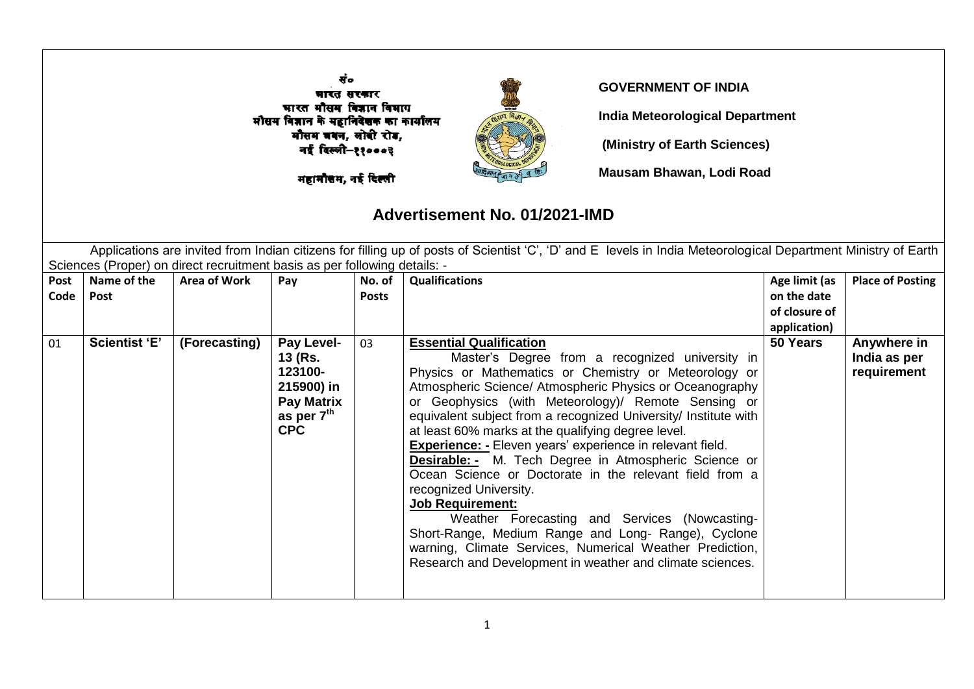|              |                                                                                                                                                                                                                                                                             |                     | मारत सरकार<br>भारत मौसम विज्ञान विभाग<br>मौसम विज्ञान के महानिदेशक का कार्यालय<br>मौसम जबन, लोवी रोड,<br>नई विल्ली-११०००३<br>महामौत्तम, नई दिल्ली |                        | <b>GOVERNMENT OF INDIA</b>                                                                                                                                                                                                                                                                                                                                                                                                                                                                                                                                                                                                                                                                                                                                                                                                                                                  | <b>India Meteorological Department</b><br>(Ministry of Earth Sciences)<br>Mausam Bhawan, Lodi Road |                                            |  |  |  |  |
|--------------|-----------------------------------------------------------------------------------------------------------------------------------------------------------------------------------------------------------------------------------------------------------------------------|---------------------|---------------------------------------------------------------------------------------------------------------------------------------------------|------------------------|-----------------------------------------------------------------------------------------------------------------------------------------------------------------------------------------------------------------------------------------------------------------------------------------------------------------------------------------------------------------------------------------------------------------------------------------------------------------------------------------------------------------------------------------------------------------------------------------------------------------------------------------------------------------------------------------------------------------------------------------------------------------------------------------------------------------------------------------------------------------------------|----------------------------------------------------------------------------------------------------|--------------------------------------------|--|--|--|--|
|              | Advertisement No. 01/2021-IMD<br>Applications are invited from Indian citizens for filling up of posts of Scientist 'C', 'D' and E levels in India Meteorological Department Ministry of Earth<br>Sciences (Proper) on direct recruitment basis as per following details: - |                     |                                                                                                                                                   |                        |                                                                                                                                                                                                                                                                                                                                                                                                                                                                                                                                                                                                                                                                                                                                                                                                                                                                             |                                                                                                    |                                            |  |  |  |  |
| Post<br>Code | Name of the<br>Post                                                                                                                                                                                                                                                         | <b>Area of Work</b> | Pay                                                                                                                                               | No. of<br><b>Posts</b> | <b>Qualifications</b>                                                                                                                                                                                                                                                                                                                                                                                                                                                                                                                                                                                                                                                                                                                                                                                                                                                       | Age limit (as<br>on the date<br>of closure of<br>application)                                      | <b>Place of Posting</b>                    |  |  |  |  |
| 01           | <b>Scientist 'E'</b>                                                                                                                                                                                                                                                        | (Forecasting)       | Pay Level-<br>13 (Rs.<br>123100-<br>215900) in<br><b>Pay Matrix</b><br>as per 7 <sup>th</sup><br><b>CPC</b>                                       | 03                     | <b>Essential Qualification</b><br>Master's Degree from a recognized university in<br>Physics or Mathematics or Chemistry or Meteorology or<br>Atmospheric Science/ Atmospheric Physics or Oceanography<br>or Geophysics (with Meteorology)/ Remote Sensing or<br>equivalent subject from a recognized University/ Institute with<br>at least 60% marks at the qualifying degree level.<br><b>Experience: -</b> Eleven years' experience in relevant field.<br><b>Desirable:</b> - M. Tech Degree in Atmospheric Science or<br>Ocean Science or Doctorate in the relevant field from a<br>recognized University.<br><b>Job Requirement:</b><br>Weather Forecasting and Services (Nowcasting-<br>Short-Range, Medium Range and Long- Range), Cyclone<br>warning, Climate Services, Numerical Weather Prediction,<br>Research and Development in weather and climate sciences. | 50 Years                                                                                           | Anywhere in<br>India as per<br>requirement |  |  |  |  |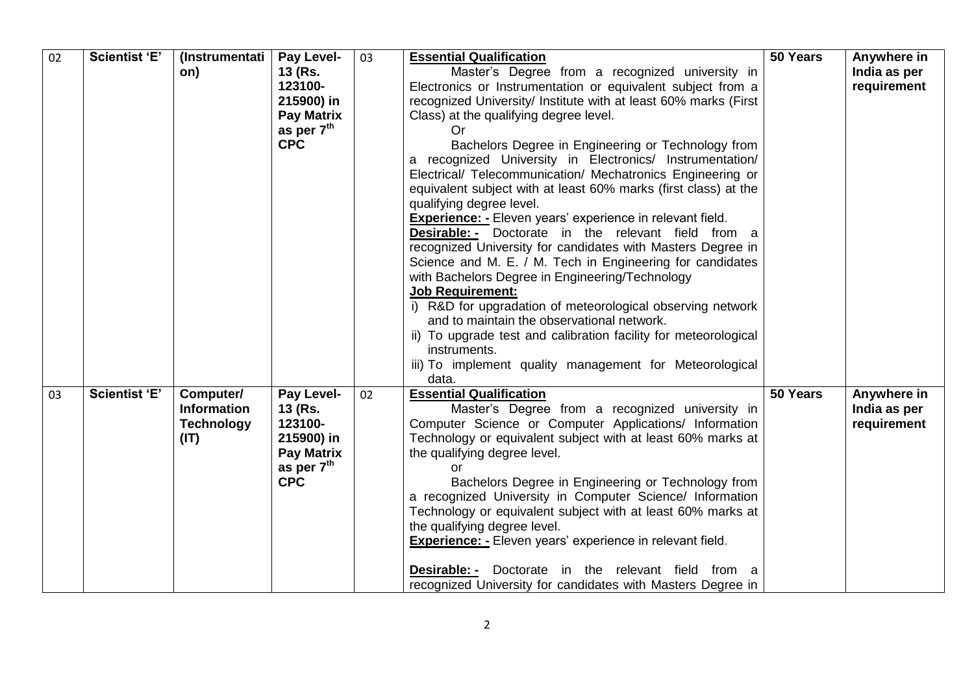| 02 | <b>Scientist 'E'</b> | (Instrumentati<br>on)                                        | Pay Level-<br>13 (Rs.<br>123100-<br>215900) in<br><b>Pay Matrix</b><br>as per 7 <sup>th</sup><br><b>CPC</b> | 03 | <b>Essential Qualification</b><br>Master's Degree from a recognized university in<br>Electronics or Instrumentation or equivalent subject from a<br>recognized University/ Institute with at least 60% marks (First<br>Class) at the qualifying degree level.<br>Or.<br>Bachelors Degree in Engineering or Technology from<br>recognized University in Electronics/ Instrumentation/<br>a<br>Electrical/ Telecommunication/ Mechatronics Engineering or<br>equivalent subject with at least 60% marks (first class) at the<br>qualifying degree level.<br><b>Experience: -</b> Eleven years' experience in relevant field.<br><b>Desirable:</b> - Doctorate in the relevant field from a<br>recognized University for candidates with Masters Degree in<br>Science and M. E. / M. Tech in Engineering for candidates<br>with Bachelors Degree in Engineering/Technology<br><b>Job Requirement:</b><br>i) R&D for upgradation of meteorological observing network<br>and to maintain the observational network.<br>ii) To upgrade test and calibration facility for meteorological<br>instruments.<br>iii) To implement quality management for Meteorological<br>data. | 50 Years | Anywhere in<br>India as per<br>requirement |
|----|----------------------|--------------------------------------------------------------|-------------------------------------------------------------------------------------------------------------|----|-----------------------------------------------------------------------------------------------------------------------------------------------------------------------------------------------------------------------------------------------------------------------------------------------------------------------------------------------------------------------------------------------------------------------------------------------------------------------------------------------------------------------------------------------------------------------------------------------------------------------------------------------------------------------------------------------------------------------------------------------------------------------------------------------------------------------------------------------------------------------------------------------------------------------------------------------------------------------------------------------------------------------------------------------------------------------------------------------------------------------------------------------------------------------|----------|--------------------------------------------|
| 03 | <b>Scientist 'E'</b> | Computer/<br><b>Information</b><br><b>Technology</b><br>(IT) | Pay Level-<br>13 (Rs.<br>123100-<br>215900) in<br><b>Pay Matrix</b><br>as per 7th<br><b>CPC</b>             | 02 | <b>Essential Qualification</b><br>Master's Degree from a recognized university in<br>Computer Science or Computer Applications/ Information<br>Technology or equivalent subject with at least 60% marks at<br>the qualifying degree level.<br>or<br>Bachelors Degree in Engineering or Technology from<br>a recognized University in Computer Science/ Information<br>Technology or equivalent subject with at least 60% marks at<br>the qualifying degree level.<br><b>Experience:</b> - Eleven years' experience in relevant field.<br><b>Desirable:</b> - Doctorate in the relevant field from a<br>recognized University for candidates with Masters Degree in                                                                                                                                                                                                                                                                                                                                                                                                                                                                                                    | 50 Years | Anywhere in<br>India as per<br>requirement |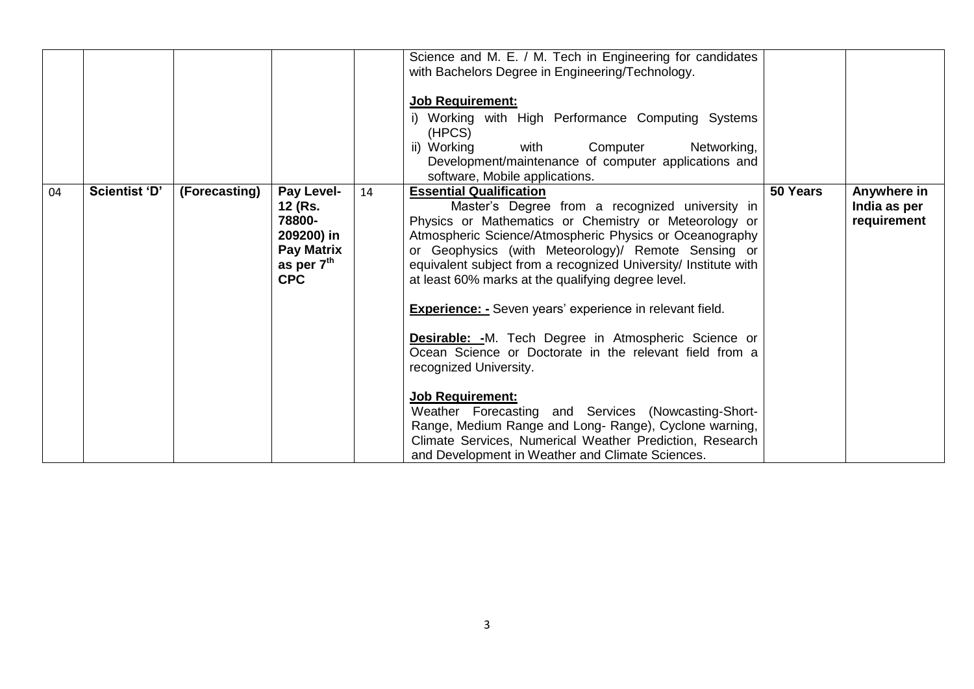|    |                      |               |                                                                                                |    | Science and M. E. / M. Tech in Engineering for candidates<br>with Bachelors Degree in Engineering/Technology.<br><b>Job Requirement:</b><br>i) Working with High Performance Computing Systems<br>(HPCS)<br>ii) Working<br>Networking,<br>Computer<br>with<br>Development/maintenance of computer applications and<br>software, Mobile applications.                                                                                                                                                                                                                                                                                                                                                                                                                                                                                                                      |          |                                            |
|----|----------------------|---------------|------------------------------------------------------------------------------------------------|----|---------------------------------------------------------------------------------------------------------------------------------------------------------------------------------------------------------------------------------------------------------------------------------------------------------------------------------------------------------------------------------------------------------------------------------------------------------------------------------------------------------------------------------------------------------------------------------------------------------------------------------------------------------------------------------------------------------------------------------------------------------------------------------------------------------------------------------------------------------------------------|----------|--------------------------------------------|
| 04 | <b>Scientist 'D'</b> | (Forecasting) | Pay Level-<br>12 (Rs.<br>78800-<br>209200) in<br><b>Pay Matrix</b><br>as per 7th<br><b>CPC</b> | 14 | <b>Essential Qualification</b><br>Master's Degree from a recognized university in<br>Physics or Mathematics or Chemistry or Meteorology or<br>Atmospheric Science/Atmospheric Physics or Oceanography<br>or Geophysics (with Meteorology)/ Remote Sensing or<br>equivalent subject from a recognized University/ Institute with<br>at least 60% marks at the qualifying degree level.<br><b>Experience:</b> - Seven years' experience in relevant field.<br><b>Desirable: -</b> M. Tech Degree in Atmospheric Science or<br>Ocean Science or Doctorate in the relevant field from a<br>recognized University.<br><b>Job Requirement:</b><br>Weather Forecasting and Services (Nowcasting-Short-<br>Range, Medium Range and Long- Range), Cyclone warning,<br>Climate Services, Numerical Weather Prediction, Research<br>and Development in Weather and Climate Sciences. | 50 Years | Anywhere in<br>India as per<br>requirement |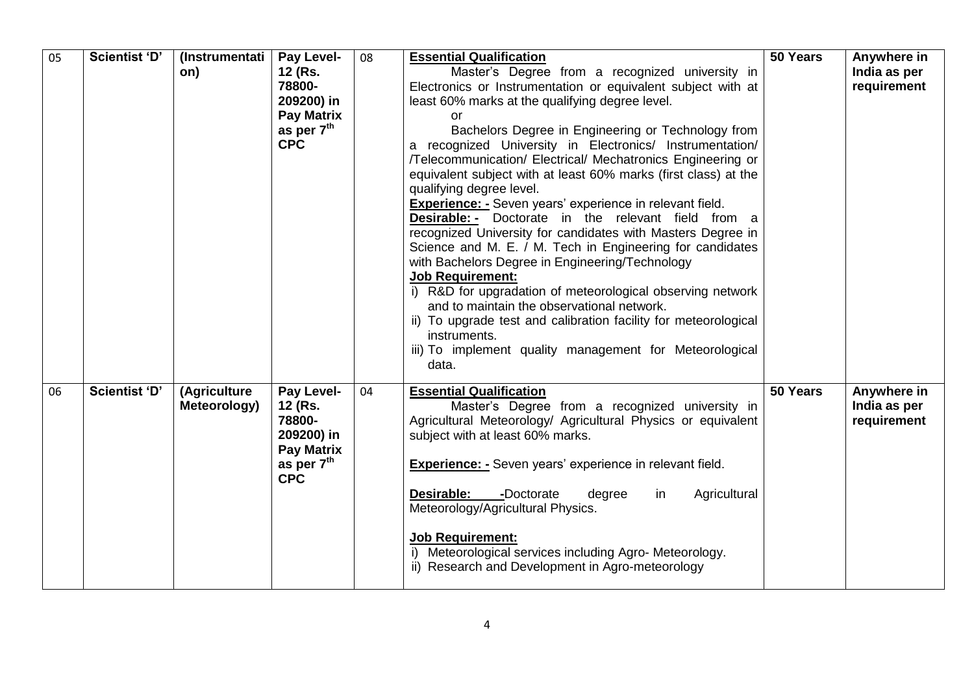| 05 | <b>Scientist 'D'</b> | (Instrumentati<br>on)        | Pay Level-<br>12 (Rs.<br>78800-<br>209200) in<br><b>Pay Matrix</b><br>as per $7th$<br><b>CPC</b>           | 08 | <b>Essential Qualification</b><br>Master's Degree from a recognized university in<br>Electronics or Instrumentation or equivalent subject with at<br>least 60% marks at the qualifying degree level.<br>or<br>Bachelors Degree in Engineering or Technology from<br>a recognized University in Electronics/ Instrumentation/<br>/Telecommunication/ Electrical/ Mechatronics Engineering or<br>equivalent subject with at least 60% marks (first class) at the<br>qualifying degree level.<br><b>Experience: - Seven years' experience in relevant field.</b><br><b>Desirable:</b> - Doctorate in the relevant field from a<br>recognized University for candidates with Masters Degree in<br>Science and M. E. / M. Tech in Engineering for candidates<br>with Bachelors Degree in Engineering/Technology<br><b>Job Requirement:</b><br>i) R&D for upgradation of meteorological observing network<br>and to maintain the observational network.<br>ii) To upgrade test and calibration facility for meteorological<br>instruments.<br>iii) To implement quality management for Meteorological<br>data. | 50 Years | Anywhere in<br>India as per<br>requirement |
|----|----------------------|------------------------------|------------------------------------------------------------------------------------------------------------|----|----------------------------------------------------------------------------------------------------------------------------------------------------------------------------------------------------------------------------------------------------------------------------------------------------------------------------------------------------------------------------------------------------------------------------------------------------------------------------------------------------------------------------------------------------------------------------------------------------------------------------------------------------------------------------------------------------------------------------------------------------------------------------------------------------------------------------------------------------------------------------------------------------------------------------------------------------------------------------------------------------------------------------------------------------------------------------------------------------------|----------|--------------------------------------------|
| 06 | Scientist 'D'        | (Agriculture<br>Meteorology) | Pay Level-<br>12 (Rs.<br>78800-<br>209200) in<br><b>Pay Matrix</b><br>as per 7 <sup>th</sup><br><b>CPC</b> | 04 | <b>Essential Qualification</b><br>Master's Degree from a recognized university in<br>Agricultural Meteorology/ Agricultural Physics or equivalent<br>subject with at least 60% marks.<br><b>Experience: -</b> Seven years' experience in relevant field.<br>Desirable:<br>-Doctorate<br>Agricultural<br>degree<br>in<br>Meteorology/Agricultural Physics.<br><b>Job Requirement:</b><br>i) Meteorological services including Agro- Meteorology.<br>ii) Research and Development in Agro-meteorology                                                                                                                                                                                                                                                                                                                                                                                                                                                                                                                                                                                                      | 50 Years | Anywhere in<br>India as per<br>requirement |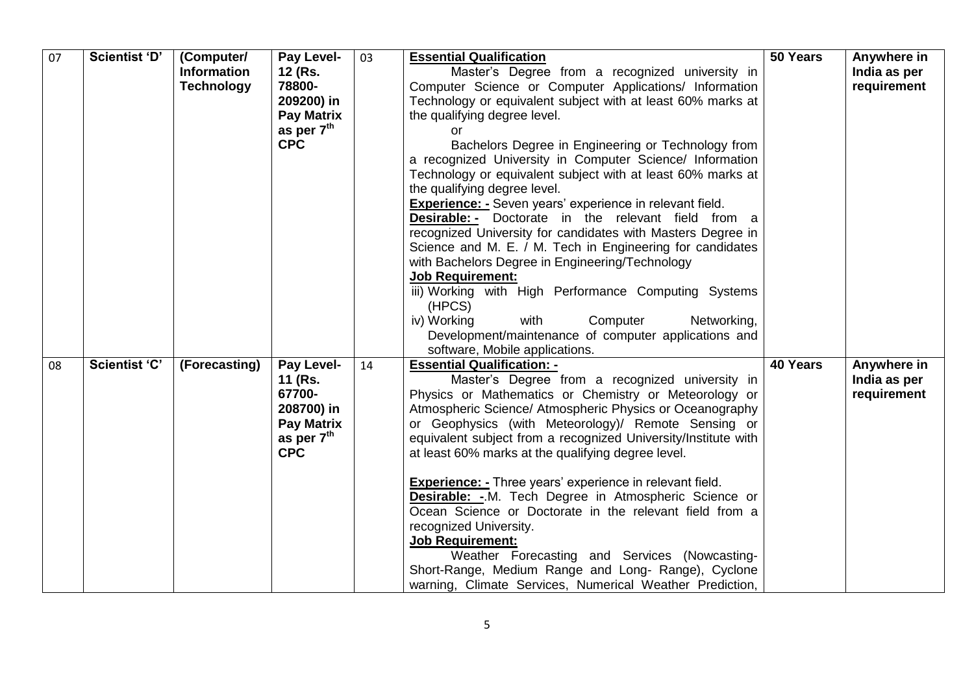| 07 | <b>Scientist 'D'</b> | (Computer/<br><b>Information</b><br><b>Technology</b> | Pay Level-<br>12 (Rs.<br>78800-<br>209200) in<br><b>Pay Matrix</b><br>as per 7 <sup>th</sup><br><b>CPC</b> | 03 | <b>Essential Qualification</b><br>Master's Degree from a recognized university in<br>Computer Science or Computer Applications/ Information<br>Technology or equivalent subject with at least 60% marks at<br>the qualifying degree level.<br>or<br>Bachelors Degree in Engineering or Technology from<br>a recognized University in Computer Science/ Information<br>Technology or equivalent subject with at least 60% marks at<br>the qualifying degree level.<br><b>Experience: -</b> Seven years' experience in relevant field.<br><b>Desirable:</b> - Doctorate in the relevant field from a<br>recognized University for candidates with Masters Degree in<br>Science and M. E. / M. Tech in Engineering for candidates<br>with Bachelors Degree in Engineering/Technology<br><b>Job Requirement:</b><br>iii) Working with High Performance Computing Systems<br>(HPCS)<br>iv) Working<br>with<br>Computer<br>Networking,<br>Development/maintenance of computer applications and<br>software, Mobile applications. | 50 Years | Anywhere in<br>India as per<br>requirement |
|----|----------------------|-------------------------------------------------------|------------------------------------------------------------------------------------------------------------|----|----------------------------------------------------------------------------------------------------------------------------------------------------------------------------------------------------------------------------------------------------------------------------------------------------------------------------------------------------------------------------------------------------------------------------------------------------------------------------------------------------------------------------------------------------------------------------------------------------------------------------------------------------------------------------------------------------------------------------------------------------------------------------------------------------------------------------------------------------------------------------------------------------------------------------------------------------------------------------------------------------------------------------|----------|--------------------------------------------|
| 08 | Scientist 'C'        | (Forecasting)                                         | Pay Level-<br>11 (Rs.<br>67700-<br>208700) in<br><b>Pay Matrix</b><br>as per $7th$<br><b>CPC</b>           | 14 | <b>Essential Qualification: -</b><br>Master's Degree from a recognized university in<br>Physics or Mathematics or Chemistry or Meteorology or<br>Atmospheric Science/ Atmospheric Physics or Oceanography<br>or Geophysics (with Meteorology)/ Remote Sensing or<br>equivalent subject from a recognized University/Institute with<br>at least 60% marks at the qualifying degree level.<br><b>Experience:</b> - Three years' experience in relevant field.<br><b>Desirable: -.</b> M. Tech Degree in Atmospheric Science or<br>Ocean Science or Doctorate in the relevant field from a<br>recognized University.<br>Job Requirement:<br>Weather Forecasting and Services (Nowcasting-<br>Short-Range, Medium Range and Long- Range), Cyclone<br>warning, Climate Services, Numerical Weather Prediction,                                                                                                                                                                                                                  | 40 Years | Anywhere in<br>India as per<br>requirement |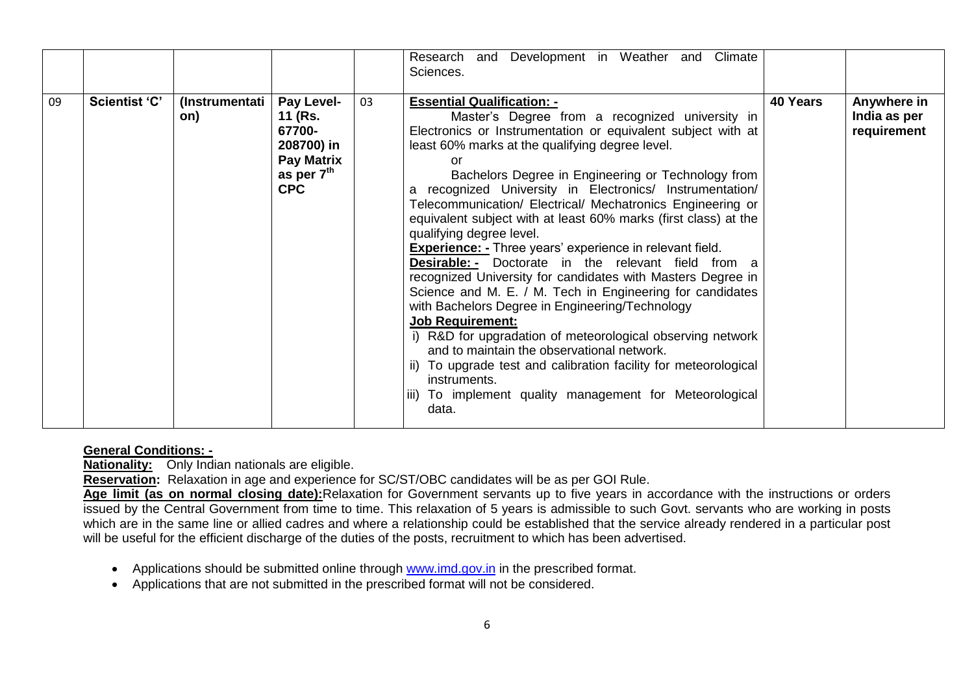|    |                      |                       |                                                                                                |    | Development in Weather and<br>Climate<br>Research and<br>Sciences.                                                                                                                                                                                                                                                                                                                                                                                                                                                                                                                                                                                                                                                                                                                                                                                                                                                                                                                                                                                                                                       |          |                                            |
|----|----------------------|-----------------------|------------------------------------------------------------------------------------------------|----|----------------------------------------------------------------------------------------------------------------------------------------------------------------------------------------------------------------------------------------------------------------------------------------------------------------------------------------------------------------------------------------------------------------------------------------------------------------------------------------------------------------------------------------------------------------------------------------------------------------------------------------------------------------------------------------------------------------------------------------------------------------------------------------------------------------------------------------------------------------------------------------------------------------------------------------------------------------------------------------------------------------------------------------------------------------------------------------------------------|----------|--------------------------------------------|
| 09 | <b>Scientist 'C'</b> | (Instrumentati<br>on) | Pay Level-<br>11 (Rs.<br>67700-<br>208700) in<br><b>Pay Matrix</b><br>as per 7th<br><b>CPC</b> | 03 | <b>Essential Qualification: -</b><br>Master's Degree from a recognized university in<br>Electronics or Instrumentation or equivalent subject with at<br>least 60% marks at the qualifying degree level.<br>or<br>Bachelors Degree in Engineering or Technology from<br>recognized University in Electronics/ Instrumentation/<br>Telecommunication/ Electrical/ Mechatronics Engineering or<br>equivalent subject with at least 60% marks (first class) at the<br>qualifying degree level.<br><b>Experience:</b> - Three years' experience in relevant field.<br><b>Desirable:</b> - Doctorate in the relevant field from a<br>recognized University for candidates with Masters Degree in<br>Science and M. E. / M. Tech in Engineering for candidates<br>with Bachelors Degree in Engineering/Technology<br><b>Job Requirement:</b><br>i) R&D for upgradation of meteorological observing network<br>and to maintain the observational network.<br>ii) To upgrade test and calibration facility for meteorological<br>instruments.<br>iii) To implement quality management for Meteorological<br>data. | 40 Years | Anywhere in<br>India as per<br>requirement |

## **General Conditions: -**

**Nationality:** Only Indian nationals are eligible.

**Reservation:** Relaxation in age and experience for SC/ST/OBC candidates will be as per GOI Rule.

**Age limit (as on normal closing date):**Relaxation for Government servants up to five years in accordance with the instructions or orders issued by the Central Government from time to time. This relaxation of 5 years is admissible to such Govt. servants who are working in posts which are in the same line or allied cadres and where a relationship could be established that the service already rendered in a particular post will be useful for the efficient discharge of the duties of the posts, recruitment to which has been advertised.

- Applications should be submitted online through [www.imd.gov.in](http://www.imd.gov.in/) in the prescribed format.
- Applications that are not submitted in the prescribed format will not be considered.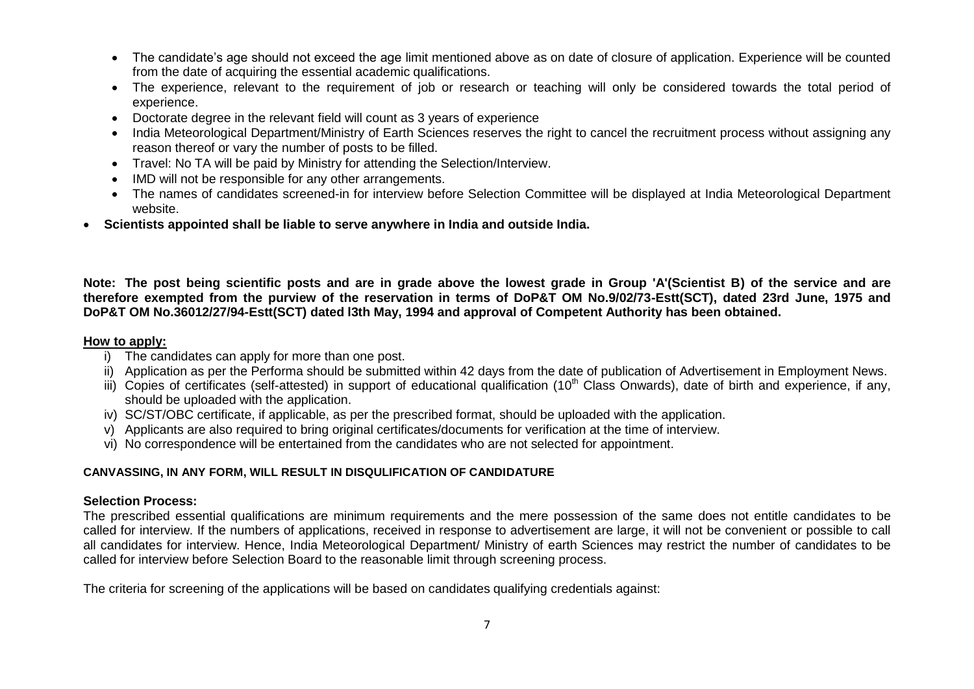- The candidate's age should not exceed the age limit mentioned above as on date of closure of application. Experience will be counted from the date of acquiring the essential academic qualifications.
- The experience, relevant to the requirement of job or research or teaching will only be considered towards the total period of experience.
- Doctorate degree in the relevant field will count as 3 years of experience
- India Meteorological Department/Ministry of Earth Sciences reserves the right to cancel the recruitment process without assigning any reason thereof or vary the number of posts to be filled.
- Travel: No TA will be paid by Ministry for attending the Selection/Interview.
- IMD will not be responsible for any other arrangements.
- The names of candidates screened-in for interview before Selection Committee will be displayed at India Meteorological Department website.
- **Scientists appointed shall be liable to serve anywhere in India and outside India.**

**Note: The post being scientific posts and are in grade above the lowest grade in Group 'A'(Scientist B) of the service and are therefore exempted from the purview of the reservation in terms of DoP&T OM No.9/02/73-Estt(SCT), dated 23rd June, 1975 and DoP&T OM No.36012/27/94-Estt(SCT) dated l3th May, 1994 and approval of Competent Authority has been obtained.**

## **How to apply:**

- i) The candidates can apply for more than one post.
- ii) Application as per the Performa should be submitted within 42 days from the date of publication of Advertisement in Employment News.
- iii) Copies of certificates (self-attested) in support of educational qualification (10<sup>th</sup> Class Onwards), date of birth and experience, if any, should be uploaded with the application.
- iv) SC/ST/OBC certificate, if applicable, as per the prescribed format, should be uploaded with the application.
- v) Applicants are also required to bring original certificates/documents for verification at the time of interview.
- vi) No correspondence will be entertained from the candidates who are not selected for appointment.

## **CANVASSING, IN ANY FORM, WILL RESULT IN DISQULIFICATION OF CANDIDATURE**

## **Selection Process:**

The prescribed essential qualifications are minimum requirements and the mere possession of the same does not entitle candidates to be called for interview. If the numbers of applications, received in response to advertisement are large, it will not be convenient or possible to call all candidates for interview. Hence, India Meteorological Department/ Ministry of earth Sciences may restrict the number of candidates to be called for interview before Selection Board to the reasonable limit through screening process.

The criteria for screening of the applications will be based on candidates qualifying credentials against: